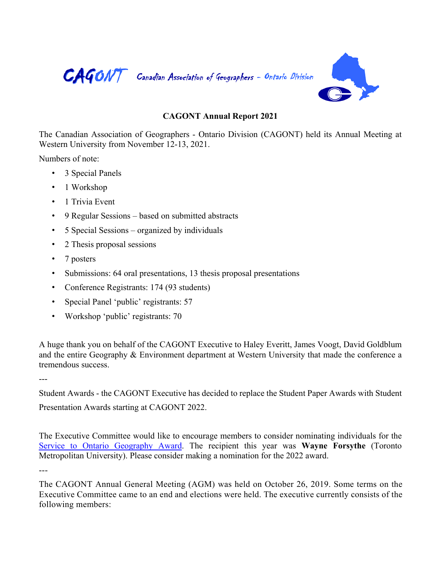

## **CAGONT Annual Report 2021**

The Canadian Association of Geographers - Ontario Division (CAGONT) held its Annual Meeting at Western University from November 12-13, 2021.

Numbers of note:

- 3 Special Panels
- 1 Workshop
- 1 Trivia Event
- 9 Regular Sessions based on submitted abstracts
- 5 Special Sessions organized by individuals
- 2 Thesis proposal sessions
- 7 posters
- Submissions: 64 oral presentations, 13 thesis proposal presentations
- Conference Registrants: 174 (93 students)
- Special Panel 'public' registrants: 57
- Workshop 'public' registrants: 70

A huge thank you on behalf of the CAGONT Executive to Haley Everitt, James Voogt, David Goldblum and the entire Geography & Environment department at Western University that made the conference a tremendous success.

---

Student Awards - the CAGONT Executive has decided to replace the Student Paper Awards with Student Presentation Awards starting at CAGONT 2022.

The Executive Committee would like to encourage members to consider nominating individuals for the Service to Ontario Geography Award. The recipient this year was **Wayne Forsythe** (Toronto Metropolitan University). Please consider making a nomination for the 2022 award.

---

The CAGONT Annual General Meeting (AGM) was held on October 26, 2019. Some terms on the Executive Committee came to an end and elections were held. The executive currently consists of the following members: